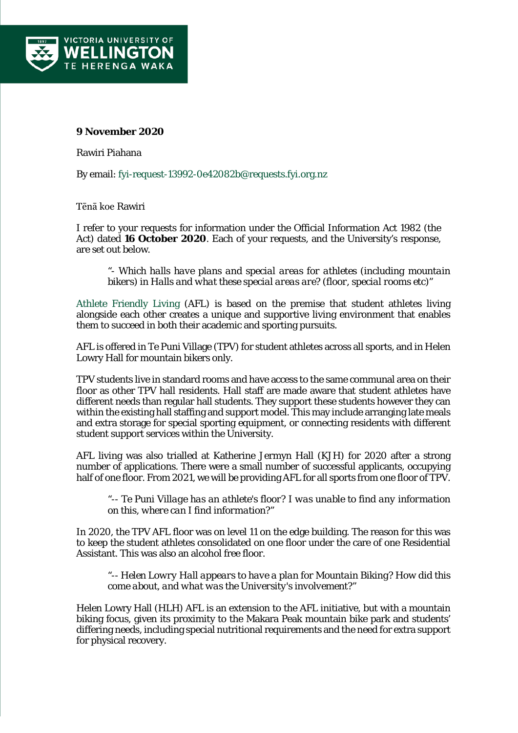

## **9 November 2020**

Rawiri Piahana

By email: [fyi-request-13992-0e42082b@requests.fyi.org.nz](mailto:xxxxxxxxxxxxxxxxxxxxxxxxxx@xxxxxxxx.xxx.xxx.xx)

Tēnā koe Rawiri

I refer to your requests for information under the Official Information Act 1982 (the Act) dated **16 October 2020**. Each of your requests, and the University's response, are set out below.

*"- Which halls have plans and special areas for athletes (including mountain bikers) in Halls and what these special areas are? (floor, special rooms etc)"*

[Athlete Friendly Living](https://apc01.safelinks.protection.outlook.com/?url=https%3A%2F%2Fwww.wgtn.ac.nz%2Fstudents%2Fget-involved%2Frecreation-services%2Fathlete-support%2Fathlete-living-options&data=04%7C01%7Coiarequests%40vuw.ac.nz%7C10704d9194d344e8bd4108d87c52a72d%7Ccfe63e236951427e8683bb84dcf1d20c%7C0%7C0%7C637396041772362582%7CUnknown%7CTWFpbGZsb3d8eyJWIjoiMC4wLjAwMDAiLCJQIjoiV2luMzIiLCJBTiI6Ik1haWwiLCJXVCI6Mn0%3D%7C1000&sdata=u4fTiKqyf%2Bpty9jZdP8%2F7PuhCvwuvcc29wlOrElSfiU%3D&reserved=0) (AFL) is based on the premise that student athletes living alongside each other creates a unique and supportive living environment that enables them to succeed in both their academic and sporting pursuits.

AFL is offered in Te Puni Village (TPV) for student athletes across all sports, and in Helen Lowry Hall for mountain bikers only.

TPV students live in standard rooms and have access to the same communal area on their floor as other TPV hall residents. Hall staff are made aware that student athletes have different needs than regular hall students. They support these students however they can within the existing hall staffing and support model. This may include arranging late meals and extra storage for special sporting equipment, or connecting residents with different student support services within the University.

AFL living was also trialled at Katherine Jermyn Hall (KJH) for 2020 after a strong number of applications. There were a small number of successful applicants, occupying half of one floor. From 2021, we will be providing AFL for all sports from one floor of TPV.

*"-- Te Puni Village has an athlete's floor? I was unable to find any information on this, where can I find information?"*

In 2020, the TPV AFL floor was on level 11 on the edge building. The reason for this was to keep the student athletes consolidated on one floor under the care of one Residential Assistant. This was also an alcohol free floor.

*"-- Helen Lowry Hall appears to have a plan for Mountain Biking? How did this come about, and what was the University's involvement?"*

Helen Lowry Hall (HLH) AFL is an extension to the AFL initiative, but with a mountain biking focus, given its proximity to the Makara Peak mountain bike park and students' differing needs, including special nutritional requirements and the need for extra support for physical recovery.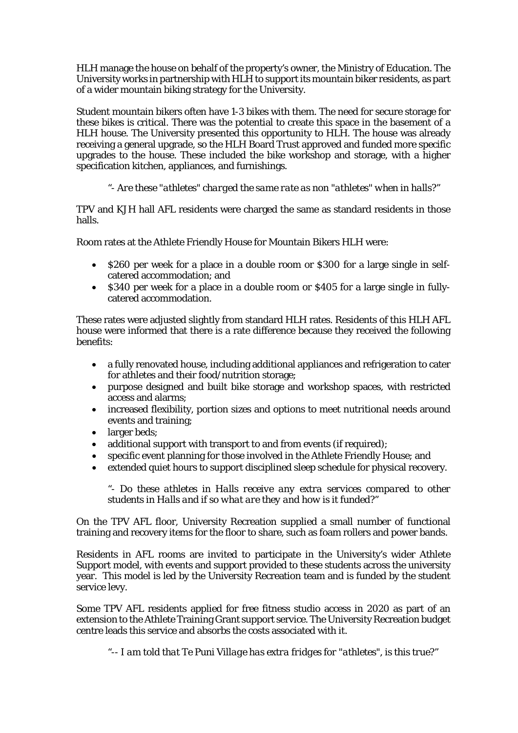HLH manage the house on behalf of the property's owner, the Ministry of Education. The University works in partnership with HLH to support its mountain biker residents, as part of a wider mountain biking strategy for the University.

Student mountain bikers often have 1-3 bikes with them. The need for secure storage for these bikes is critical. There was the potential to create this space in the basement of a HLH house. The University presented this opportunity to HLH. The house was already receiving a general upgrade, so the HLH Board Trust approved and funded more specific upgrades to the house. These included the bike workshop and storage, with a higher specification kitchen, appliances, and furnishings.

## *"- Are these "athletes" charged the same rate as non "athletes" when in halls?"*

TPV and KJH hall AFL residents were charged the same as standard residents in those halls.

Room rates at the Athlete Friendly House for Mountain Bikers HLH were:

- \$260 per week for a place in a double room or \$300 for a large single in selfcatered accommodation; and
- \$340 per week for a place in a double room or \$405 for a large single in fullycatered accommodation.

These rates were adjusted slightly from standard HLH rates. Residents of this HLH AFL house were informed that there is a rate difference because they received the following benefits:

- a fully renovated house, including additional appliances and refrigeration to cater for athletes and their food/nutrition storage;
- purpose designed and built bike storage and workshop spaces, with restricted access and alarms;
- increased flexibility, portion sizes and options to meet nutritional needs around events and training;
- larger beds:
- additional support with transport to and from events (if required);
- specific event planning for those involved in the Athlete Friendly House; and
- extended quiet hours to support disciplined sleep schedule for physical recovery.

*"- Do these athletes in Halls receive any extra services compared to other students in Halls and if so what are they and how is it funded?"*

On the TPV AFL floor, University Recreation supplied a small number of functional training and recovery items for the floor to share, such as foam rollers and power bands.

Residents in AFL rooms are invited to participate in the University's wider Athlete Support model, with events and support provided to these students across the university year. This model is led by the University Recreation team and is funded by the student service levy.

Some TPV AFL residents applied for free fitness studio access in 2020 as part of an extension to the Athlete Training Grant support service. The University Recreation budget centre leads this service and absorbs the costs associated with it.

*"-- I am told that Te Puni Village has extra fridges for "athletes", is this true?"*